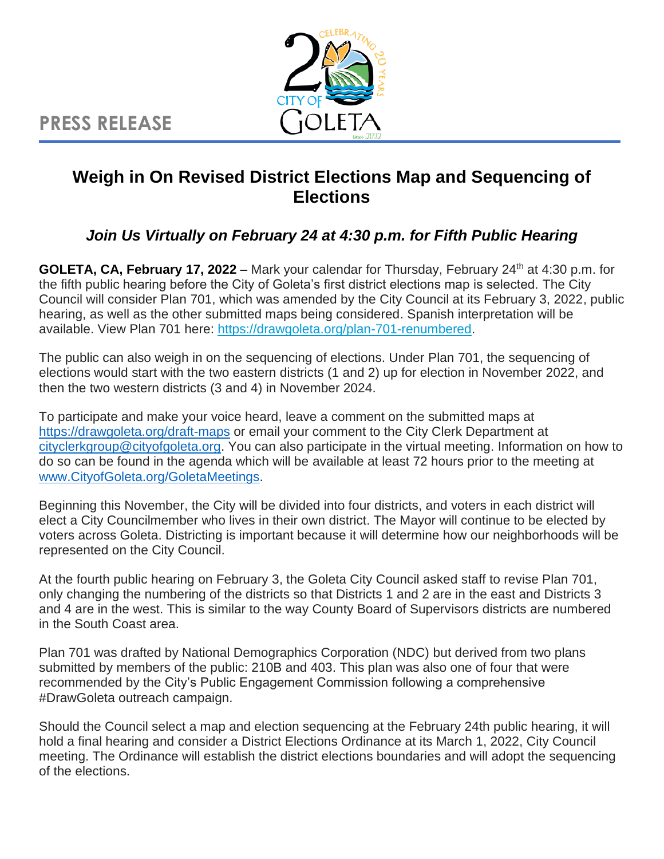**PRESS RELEASE**



## **Weigh in On Revised District Elections Map and Sequencing of Elections**

## *Join Us Virtually on February 24 at 4:30 p.m. for Fifth Public Hearing*

**GOLETA, CA, February 17, 2022** – Mark your calendar for Thursday, February 24th at 4:30 p.m. for the fifth public hearing before the City of Goleta's first district elections map is selected. The City Council will consider Plan 701, which was amended by the City Council at its February 3, 2022, public hearing, as well as the other submitted maps being considered. Spanish interpretation will be available. View Plan 701 here: [https://drawgoleta.org/plan-701-renumbered.](https://drawgoleta.org/plan-701-renumbered/)

The public can also weigh in on the sequencing of elections. Under Plan 701, the sequencing of elections would start with the two eastern districts (1 and 2) up for election in November 2022, and then the two western districts (3 and 4) in November 2024.

To participate and make your voice heard, leave a comment on the submitted maps at [https://drawgoleta.org/draft-maps](https://drawgoleta.org/draft-maps/) or email your comment to the City Clerk Department at [cityclerkgroup@cityofgoleta.org.](mailto:cityclerkgroup@cityofgoleta.org) You can also participate in the virtual meeting. Information on how to do so can be found in the agenda which will be available at least 72 hours prior to the meeting at [www.CityofGoleta.org/GoletaMeetings.](http://www.cityofgoleta.org/GoletaMeetings)

Beginning this November, the City will be divided into four districts, and voters in each district will elect a City Councilmember who lives in their own district. The Mayor will continue to be elected by voters across Goleta. Districting is important because it will determine how our neighborhoods will be represented on the City Council.

At the fourth public hearing on February 3, the Goleta City Council asked staff to revise Plan 701, only changing the numbering of the districts so that Districts 1 and 2 are in the east and Districts 3 and 4 are in the west. This is similar to the way County Board of Supervisors districts are numbered in the South Coast area.

Plan 701 was drafted by National Demographics Corporation (NDC) but derived from two plans submitted by members of the public: 210B and 403. This plan was also one of four that were recommended by the City's Public Engagement Commission following a comprehensive #DrawGoleta outreach campaign.

Should the Council select a map and election sequencing at the February 24th public hearing, it will hold a final hearing and consider a District Elections Ordinance at its March 1, 2022, City Council meeting. The Ordinance will establish the district elections boundaries and will adopt the sequencing of the elections.